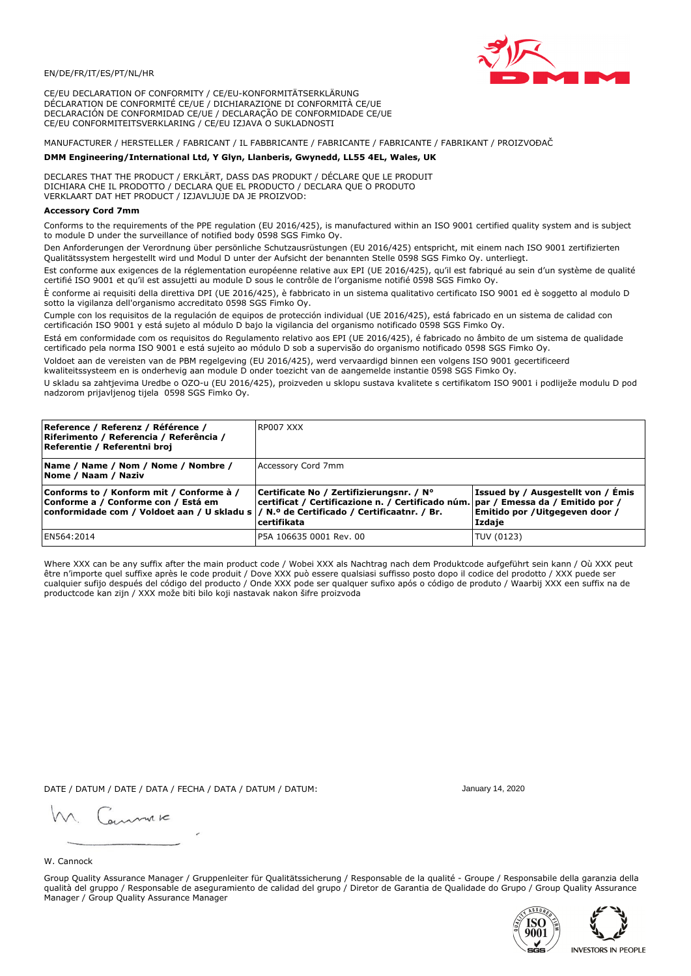

CE/EU DECLARATION OF CONFORMITY / CE/EU-KONFORMITÄTSERKLÄRUNG DÉCLARATION DE CONFORMITÉ CE/UE / DICHIARAZIONE DI CONFORMITÀ CE/UE DECLARACIÓN DE CONFORMIDAD CE/UE / DECLARAÇÃO DE CONFORMIDADE CE/UE CE/EU CONFORMITEITSVERKLARING / CE/EU IZJAVA O SUKLADNOSTI

# MANUFACTURER / HERSTELLER / FABRICANT / IL FABBRICANTE / FABRICANTE / FABRICANTE / FABRIKANT / PROIZVOĐAČ

# DMM Engineering/International Ltd, Y Glyn, Llanberis, Gwynedd, LL55 4EL, Wales, UK

DECLARES THAT THE PRODUCT / ERKLÄRT, DASS DAS PRODUKT / DÉCLARE QUE LE PRODUIT<br>DICHIARA CHE IL PRODOTTO / DECLARA QUE EL PRODUCTO / DECLARA QUE O PRODUTO VERKLAART DAT HET PRODUCT / IZJAVLJUJE DA JE PROIZVOD:

## **Accessory Cord 7mm**

Conforms to the requirements of the PPE regulation (EU 2016/425), is manufactured within an ISO 9001 certified quality system and is subject to module D under the surveillance of notified body 0598 SGS Fimko Oy.

Den Anforderungen der Verordnung über persönliche Schutzausrüstungen (EU 2016/425) entspricht, mit einem nach ISO 9001 zertifizierten Oualitätssystem hergestellt wird und Modul D unter der Aufsicht der benannten Stelle 0598 SGS Fimko Oy. unterliegt.

Est conforme aux exigences de la réglementation européenne relative aux EPI (UE 2016/425), qu'il est fabriqué au sein d'un système de qualité certifié ISO 9001 et qu'il est assujetti au module D sous le contrôle de l'organisme notifié 0598 SGS Fimko Oy.

È conforme ai requisiti della direttiva DPI (UE 2016/425), è fabbricato in un sistema qualitativo certificato ISO 9001 ed è soggetto al modulo D sotto la vigilanza dell'organismo accreditato 0598 SGS Fimko Oy.

Cumple con los requisitos de la regulación de equipos de protección individual (UE 2016/425), está fabricado en un sistema de calidad con certificación ISO 9001 y está sujeto al módulo D bajo la vigilancia del organismo notificado 0598 SGS Fimko Oy.

Está em conformidade com os requisitos do Regulamento relativo aos EPI (UE 2016/425), é fabricado no âmbito de um sistema de qualidade certificado pela norma ISO 9001 e está sujeito ao módulo D sob a supervisão do organismo notificado 0598 SGS Fimko Oy.

Voldoet aan de vereisten van de PBM regelgeving (EU 2016/425), werd vervaardigd binnen een volgens ISO 9001 gecertificeerd kwaliteitssysteem en is onderhevig aan module D onder toezicht van de aangemelde instantie 0598 SGS Fimko Oy.

U skladu sa zahtjevima Uredbe o OZO-u (EU 2016/425), proizveden u sklopu sustava kvalitete s certifikatom ISO 9001 i podliježe modulu D pod nadzorom prijavljenog tijela 0598 SGS Fimko Oy.

| Reference / Referenz / Référence /<br>Riferimento / Referencia / Referência /<br>Referentie / Referentni broj                                                               | RP007 XXX                                                                                                                                    |                                                                                 |
|-----------------------------------------------------------------------------------------------------------------------------------------------------------------------------|----------------------------------------------------------------------------------------------------------------------------------------------|---------------------------------------------------------------------------------|
| Name / Name / Nom / Nome / Nombre /<br>Nome / Naam / Naziv                                                                                                                  | Accessory Cord 7mm                                                                                                                           |                                                                                 |
| Conforms to / Konform mit / Conforme à /<br>Conforme a / Conforme con / Está em<br>conformidade com / Voldoet aan / U skladu s  / N.º de Certificado / Certificaatnr. / Br. | Certificate No / Zertifizierungsnr. / N°<br>certificat / Certificazione n. / Certificado núm. par / Emessa da / Emitido por /<br>certifikata | Issued by / Ausgestellt von / Émis<br>Emitido por / Uitgegeven door /<br>Izdaje |
| EN564:2014                                                                                                                                                                  | P5A 106635 0001 Rev. 00                                                                                                                      | TUV (0123)                                                                      |

Where XXX can be any suffix after the main product code / Wobei XXX als Nachtrag nach dem Produktcode aufgeführt sein kann / Où XXX peut être n'importe quel suffixe après le code produit / Dove XXX può essere qualsiasi suffisso posto dopo il codice del prodotto / XXX puede ser<br>cualquier sufijo después del código del producto / Onde XXX pode ser qualquer suf productcode kan zijn / XXX može biti bilo koji nastavak nakon šifre proizvoda

DATE / DATUM / DATE / DATA / FECHA / DATA / DATUM / DATUM:

gimmic

January 14, 2020





W. Cannock

Group Quality Assurance Manager / Gruppenleiter für Qualitätssicherung / Responsable de la qualité - Groupe / Responsabile della garanzia della qualità del gruppo / Responsable de aseguramiento de calidad del grupo / Diretor de Garantia de Qualidade do Grupo / Group Quality Assurance Manager / Group Quality Assurance Manager

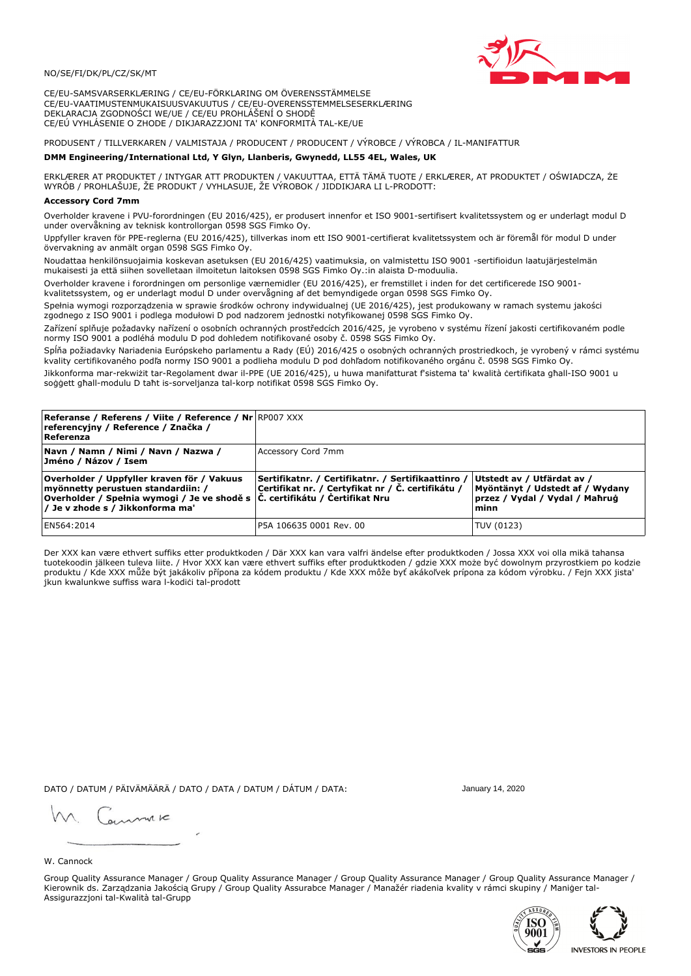

CE/EU-SAMSVARSERKLÆRING / CE/EU-FÖRKLARING OM ÖVERENSSTÄMMELSE CE/EU-VAATIMUSTENMUKAISUUSVAKUUTUS / CE/EU-OVERENSSTEMMELSESERKLÆRING DEKLARACJA ZGODNOŚCI WE/UE / CE/EU PROHLÁŠENÍ O SHODĚ CE/EÚ VYHLÁSENIE O ZHODE / DIKJARAZZJONI TA' KONFORMITÀ TAL-KE/UE

# PRODUSENT / TILLVERKAREN / VALMISTAJA / PRODUCENT / PRODUCENT / VÝROBCE / VÝROBCA / IL-MANIFATTUR

### DMM Engineering/International Ltd, Y Glyn, Llanberis, Gwynedd, LL55 4EL, Wales, UK

ERKLÆRER AT PRODUKTET / INTYGAR ATT PRODUKTEN / VAKUUTTAA, ETTÄ TÄMÄ TUOTE / ERKLÆRER, AT PRODUKTET / OŚWIADCZA, ŻE<br>WYRÓB / PROHLAŠUJE, ŽE PRODUKT / VYHLASUJE, ŽE VÝROBOK / JIDDIKJARA LI L-PRODOTT:

Overholder kravene i PVU-forordningen (EU 2016/425), er produsert innenfor et ISO 9001-sertifisert kvalitetssystem og er underlagt modul D under overvåkning av teknisk kontrollorgan 0598 SGS Fimko Oy.

Uppfyller kraven för PPE-reglerna (EU 2016/425), tillverkas inom ett ISO 9001-certifierat kvalitetssystem och är föremål för modul D under övervakning av anmält organ 0598 SGS Fimko Oy.

Noudattaa henkilönsuojaimia koskevan asetuksen (EU 2016/425) vaatimuksia, on valmistettu ISO 9001 -sertifioidun laatujärjestelmän mukaisesti ja että siihen sovelletaan ilmoitetun laitoksen 0598 SGS Fimko Oy.:in alaista D-moduulia.

Overholder kravene i forordningen om personlige værnemidler (EU 2016/425), er fremstillet i inden for det certificerede ISO 9001kvalitetssystem, og er underlagt modul D under overvågning af det bemyndigede organ 0598 SGS Fimko Oy.

Spełnia wymogi rozporządzenia w sprawie środków ochrony indywidualnej (UE 2016/425), jest produkowany w ramach systemu jakości zgodnego z ISO 9001 i podlega modułowi D pod nadzorem jednostki notyfikowanej 0598 SGS Fimko Oy.

Zařízení splňuje požadavky nařízení o osobních ochranných prostředcích 2016/425, je vyrobeno v systému řízení jakosti certifikovaném podle normy ISO 9001 a podléhá modulu D pod dohledem notifikované osoby č. 0598 SGS Fimko Oy.

Spĺňa požiadavky Nariadenia Európskeho parlamentu a Rady (EÚ) 2016/425 o osobných ochranných prostriedkoch, je vyrobený v rámci systému kvality certifikovaného podľa normy ISO 9001 a podlieha modulu D pod dohľadom notifikovaného orgánu č. 0598 SGS Fimko Oy.

Jikkonforma mar-rekwiżit tar-Regolament dwar il-PPE (UE 2016/425), u huwa manifatturat f'sistema ta' kwalità certifikata għall-ISO 9001 u soggett għall-modulu D taħt is-sorveljanza tal-korp notifikat 0598 SGS Fimko Oy.

| <b>Referanse / Referens / Viite / Reference / Nr</b> RP007 XXX<br>referencyjny / Reference / Značka /<br>Referenza                                                                                    |                                                                                                         |                                                                                                         |
|-------------------------------------------------------------------------------------------------------------------------------------------------------------------------------------------------------|---------------------------------------------------------------------------------------------------------|---------------------------------------------------------------------------------------------------------|
| Navn / Namn / Nimi / Navn / Nazwa /<br>Jméno / Názov / Isem                                                                                                                                           | Accessory Cord 7mm                                                                                      |                                                                                                         |
| Overholder / Uppfyller kraven för / Vakuus<br>myönnetty perustuen standardiin: /<br> Overholder / Spełnia wymogi / Je ve shodě s  Č. certifikátu / Čertifikat Nru<br>/ Je v zhode s / Jikkonforma ma' | Sertifikatnr. / Certifikatnr. / Sertifikaattinro /<br>Certifikat nr. / Certyfikat nr / Č. certifikátu / | Utstedt av / Utfärdat av /<br>Myöntänyt / Udstedt af / Wydany<br>przez / Vydal / Vydal / Maħruġ<br>minn |
| EN564:2014                                                                                                                                                                                            | IP5A 106635 0001 Rev. 00                                                                                | TUV (0123)                                                                                              |

Der XXX kan være ethvert suffiks etter produktkoden / Där XXX kan vara valfri ändelse efter produktkoden / Jossa XXX voi olla mikä tahansa tuotekoodin jälkeen tuleva liite. / Hvor XXX kan være ethvert suffiks efter produktkoden / gdzie XXX może być dowolnym przyrostkiem po kodzie produktu / Kde XXX může být jakákoliv přípona za kódem produktu / Kde XXX môže byť akákoľvek prípona za kódom výrobku. / Fejn XXX jista jkun kwalunkwe suffiss wara l-kodici tal-prodott

DATO / DATUM / PÄIVÄMÄÄRÄ / DATO / DATA / DATUM / DÁTUM / DATA:

January 14, 2020

annuic

W. Cannock

Group Quality Assurance Manager / Group Quality Assurance Manager / Group Quality Assurance Manager / Group Quality Assurance Manager / Kierownik ds. Zarządzania Jakością Grupy / Group Quality Assurabce Manager / Manažér riadenia kvality v rámci skupiny / Maniger tal-Assigurazzjoni tal-Kwalità tal-Grupp